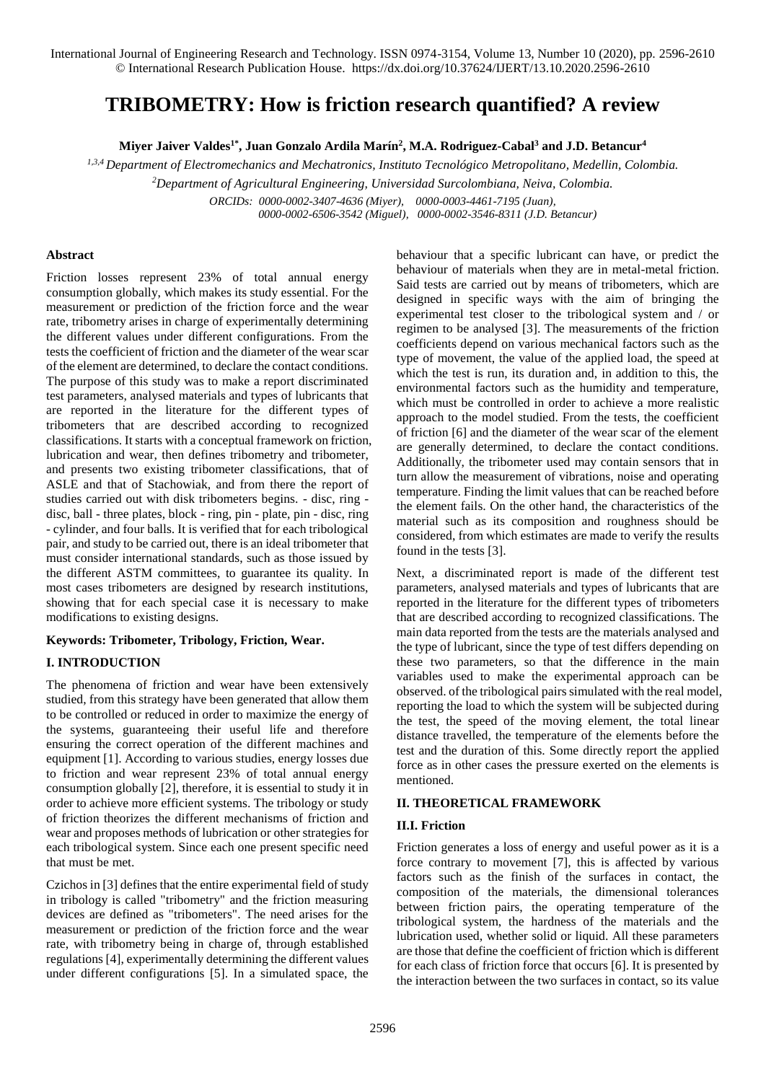# **TRIBOMETRY: How is friction research quantified? A review**

**Miyer Jaiver Valdes1\* , Juan Gonzalo Ardila Marín<sup>2</sup> , M.A. Rodriguez-Cabal<sup>3</sup> and J.D. Betancur<sup>4</sup>**

*1,3,4 Department of Electromechanics and Mechatronics, Instituto Tecnológico Metropolitano, Medellin, Colombia.*

*<sup>2</sup>Department of Agricultural Engineering, Universidad Surcolombiana, Neiva, Colombia.*

*ORCIDs: [0000-0002-3407-4636 \(Miyer\),](https://orcid.org/0000-0002-3407-4636) [0000-0003-4461-7195 \(Juan\),](https://orcid.org/0000-0003-4461-7195)*

 *[0000-0002-6506-3542 \(Miguel\),](https://orcid.org/0000-0002-6506-3542) [0000-0002-3546-8311 \(J.D. Betancur\)](https://orcid.org/0000-0002-3546-8311)*

# **Abstract**

Friction losses represent 23% of total annual energy consumption globally, which makes its study essential. For the measurement or prediction of the friction force and the wear rate, tribometry arises in charge of experimentally determining the different values under different configurations. From the tests the coefficient of friction and the diameter of the wear scar of the element are determined, to declare the contact conditions. The purpose of this study was to make a report discriminated test parameters, analysed materials and types of lubricants that are reported in the literature for the different types of tribometers that are described according to recognized classifications. It starts with a conceptual framework on friction, lubrication and wear, then defines tribometry and tribometer, and presents two existing tribometer classifications, that of ASLE and that of Stachowiak, and from there the report of studies carried out with disk tribometers begins. - disc, ring disc, ball - three plates, block - ring, pin - plate, pin - disc, ring - cylinder, and four balls. It is verified that for each tribological pair, and study to be carried out, there is an ideal tribometer that must consider international standards, such as those issued by the different ASTM committees, to guarantee its quality. In most cases tribometers are designed by research institutions, showing that for each special case it is necessary to make modifications to existing designs.

# **Keywords: Tribometer, Tribology, Friction, Wear.**

# **I. INTRODUCTION**

The phenomena of friction and wear have been extensively studied, from this strategy have been generated that allow them to be controlled or reduced in order to maximize the energy of the systems, guaranteeing their useful life and therefore ensuring the correct operation of the different machines and equipment [1]. According to various studies, energy losses due to friction and wear represent 23% of total annual energy consumption globally [2], therefore, it is essential to study it in order to achieve more efficient systems. The tribology or study of friction theorizes the different mechanisms of friction and wear and proposes methods of lubrication or other strategies for each tribological system. Since each one present specific need that must be met.

Czichos in [3] defines that the entire experimental field of study in tribology is called "tribometry" and the friction measuring devices are defined as "tribometers". The need arises for the measurement or prediction of the friction force and the wear rate, with tribometry being in charge of, through established regulations [4], experimentally determining the different values under different configurations [5]. In a simulated space, the behaviour that a specific lubricant can have, or predict the behaviour of materials when they are in metal-metal friction. Said tests are carried out by means of tribometers, which are designed in specific ways with the aim of bringing the experimental test closer to the tribological system and / or regimen to be analysed [3]. The measurements of the friction coefficients depend on various mechanical factors such as the type of movement, the value of the applied load, the speed at which the test is run, its duration and, in addition to this, the environmental factors such as the humidity and temperature, which must be controlled in order to achieve a more realistic approach to the model studied. From the tests, the coefficient of friction [6] and the diameter of the wear scar of the element are generally determined, to declare the contact conditions. Additionally, the tribometer used may contain sensors that in turn allow the measurement of vibrations, noise and operating temperature. Finding the limit values that can be reached before the element fails. On the other hand, the characteristics of the material such as its composition and roughness should be considered, from which estimates are made to verify the results found in the tests [3].

Next, a discriminated report is made of the different test parameters, analysed materials and types of lubricants that are reported in the literature for the different types of tribometers that are described according to recognized classifications. The main data reported from the tests are the materials analysed and the type of lubricant, since the type of test differs depending on these two parameters, so that the difference in the main variables used to make the experimental approach can be observed. of the tribological pairs simulated with the real model, reporting the load to which the system will be subjected during the test, the speed of the moving element, the total linear distance travelled, the temperature of the elements before the test and the duration of this. Some directly report the applied force as in other cases the pressure exerted on the elements is mentioned.

## **II. THEORETICAL FRAMEWORK**

# **II.I. Friction**

Friction generates a loss of energy and useful power as it is a force contrary to movement [7], this is affected by various factors such as the finish of the surfaces in contact, the composition of the materials, the dimensional tolerances between friction pairs, the operating temperature of the tribological system, the hardness of the materials and the lubrication used, whether solid or liquid. All these parameters are those that define the coefficient of friction which is different for each class of friction force that occurs [6]. It is presented by the interaction between the two surfaces in contact, so its value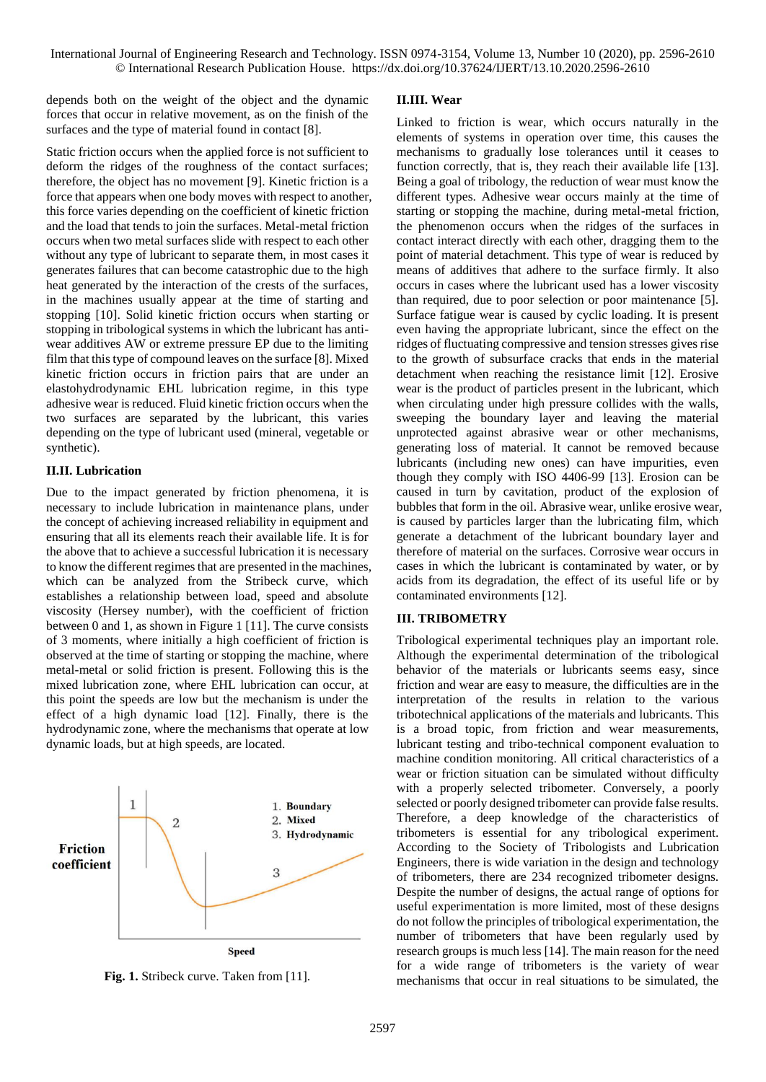depends both on the weight of the object and the dynamic forces that occur in relative movement, as on the finish of the surfaces and the type of material found in contact [8].

Static friction occurs when the applied force is not sufficient to deform the ridges of the roughness of the contact surfaces; therefore, the object has no movement [9]. Kinetic friction is a force that appears when one body moves with respect to another, this force varies depending on the coefficient of kinetic friction and the load that tends to join the surfaces. Metal-metal friction occurs when two metal surfaces slide with respect to each other without any type of lubricant to separate them, in most cases it generates failures that can become catastrophic due to the high heat generated by the interaction of the crests of the surfaces, in the machines usually appear at the time of starting and stopping [10]. Solid kinetic friction occurs when starting or stopping in tribological systems in which the lubricant has antiwear additives AW or extreme pressure EP due to the limiting film that this type of compound leaves on the surface [8]. Mixed kinetic friction occurs in friction pairs that are under an elastohydrodynamic EHL lubrication regime, in this type adhesive wear is reduced. Fluid kinetic friction occurs when the two surfaces are separated by the lubricant, this varies depending on the type of lubricant used (mineral, vegetable or synthetic).

# **II.II. Lubrication**

Due to the impact generated by friction phenomena, it is necessary to include lubrication in maintenance plans, under the concept of achieving increased reliability in equipment and ensuring that all its elements reach their available life. It is for the above that to achieve a successful lubrication it is necessary to know the different regimes that are presented in the machines, which can be analyzed from the Stribeck curve, which establishes a relationship between load, speed and absolute viscosity (Hersey number), with the coefficient of friction between 0 and 1, as shown in Figure 1 [11]. The curve consists of 3 moments, where initially a high coefficient of friction is observed at the time of starting or stopping the machine, where metal-metal or solid friction is present. Following this is the mixed lubrication zone, where EHL lubrication can occur, at this point the speeds are low but the mechanism is under the effect of a high dynamic load [12]. Finally, there is the hydrodynamic zone, where the mechanisms that operate at low dynamic loads, but at high speeds, are located.



**Fig. 1.** Stribeck curve. Taken from [11].

#### **II.III. Wear**

Linked to friction is wear, which occurs naturally in the elements of systems in operation over time, this causes the mechanisms to gradually lose tolerances until it ceases to function correctly, that is, they reach their available life [13]. Being a goal of tribology, the reduction of wear must know the different types. Adhesive wear occurs mainly at the time of starting or stopping the machine, during metal-metal friction, the phenomenon occurs when the ridges of the surfaces in contact interact directly with each other, dragging them to the point of material detachment. This type of wear is reduced by means of additives that adhere to the surface firmly. It also occurs in cases where the lubricant used has a lower viscosity than required, due to poor selection or poor maintenance [5]. Surface fatigue wear is caused by cyclic loading. It is present even having the appropriate lubricant, since the effect on the ridges of fluctuating compressive and tension stresses gives rise to the growth of subsurface cracks that ends in the material detachment when reaching the resistance limit [12]. Erosive wear is the product of particles present in the lubricant, which when circulating under high pressure collides with the walls, sweeping the boundary layer and leaving the material unprotected against abrasive wear or other mechanisms, generating loss of material. It cannot be removed because lubricants (including new ones) can have impurities, even though they comply with ISO 4406-99 [13]. Erosion can be caused in turn by cavitation, product of the explosion of bubbles that form in the oil. Abrasive wear, unlike erosive wear, is caused by particles larger than the lubricating film, which generate a detachment of the lubricant boundary layer and therefore of material on the surfaces. Corrosive wear occurs in cases in which the lubricant is contaminated by water, or by acids from its degradation, the effect of its useful life or by contaminated environments [12].

## **III. TRIBOMETRY**

Tribological experimental techniques play an important role. Although the experimental determination of the tribological behavior of the materials or lubricants seems easy, since friction and wear are easy to measure, the difficulties are in the interpretation of the results in relation to the various tribotechnical applications of the materials and lubricants. This is a broad topic, from friction and wear measurements, lubricant testing and tribo-technical component evaluation to machine condition monitoring. All critical characteristics of a wear or friction situation can be simulated without difficulty with a properly selected tribometer. Conversely, a poorly selected or poorly designed tribometer can provide false results. Therefore, a deep knowledge of the characteristics of tribometers is essential for any tribological experiment. According to the Society of Tribologists and Lubrication Engineers, there is wide variation in the design and technology of tribometers, there are 234 recognized tribometer designs. Despite the number of designs, the actual range of options for useful experimentation is more limited, most of these designs do not follow the principles of tribological experimentation, the number of tribometers that have been regularly used by research groups is much less [14]. The main reason for the need for a wide range of tribometers is the variety of wear mechanisms that occur in real situations to be simulated, the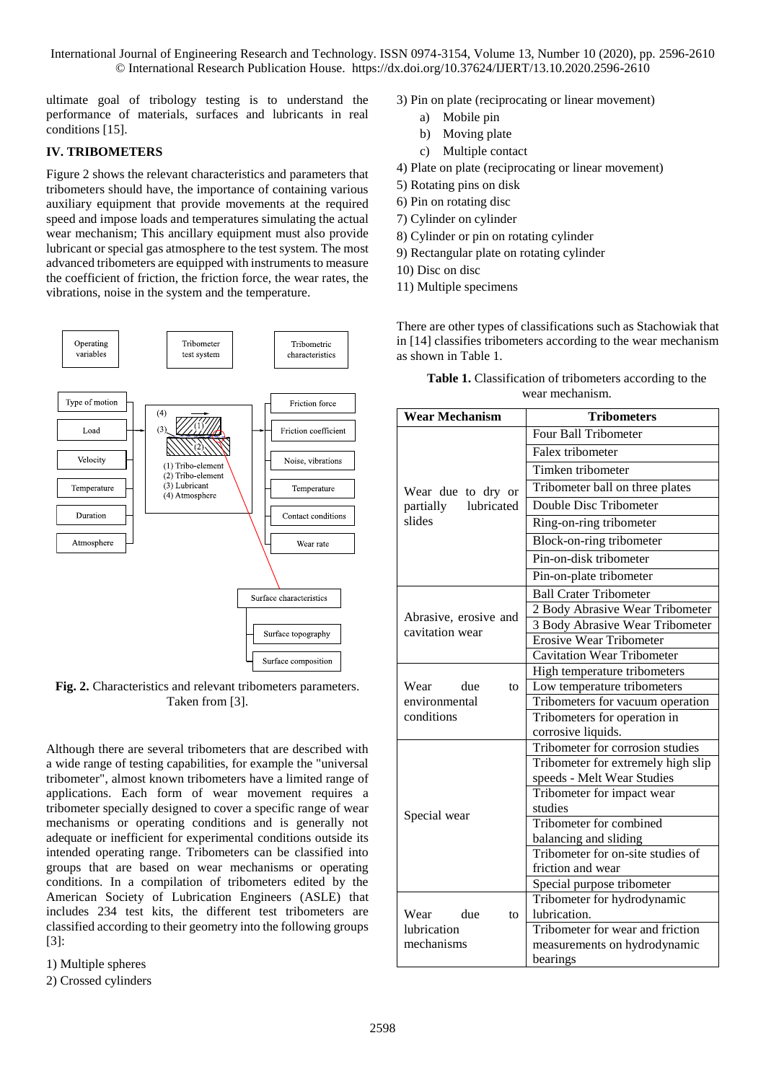ultimate goal of tribology testing is to understand the performance of materials, surfaces and lubricants in real conditions [15].

# **IV. TRIBOMETERS**

Figure 2 shows the relevant characteristics and parameters that tribometers should have, the importance of containing various auxiliary equipment that provide movements at the required speed and impose loads and temperatures simulating the actual wear mechanism; This ancillary equipment must also provide lubricant or special gas atmosphere to the test system. The most advanced tribometers are equipped with instruments to measure the coefficient of friction, the friction force, the wear rates, the vibrations, noise in the system and the temperature.



Fig. 2. Characteristics and relevant tribometers parameters. Taken from [3].

Although there are several tribometers that are described with a wide range of testing capabilities, for example the "universal tribometer", almost known tribometers have a limited range of applications. Each form of wear movement requires a tribometer specially designed to cover a specific range of wear mechanisms or operating conditions and is generally not adequate or inefficient for experimental conditions outside its intended operating range. Tribometers can be classified into groups that are based on wear mechanisms or operating conditions. In a compilation of tribometers edited by the American Society of Lubrication Engineers (ASLE) that includes 234 test kits, the different test tribometers are classified according to their geometry into the following groups [3]:

#### 1) Multiple spheres

2) Crossed cylinders

- 3) Pin on plate (reciprocating or linear movement)
	- a) Mobile pin
	- b) Moving plate
	- c) Multiple contact
- 4) Plate on plate (reciprocating or linear movement)
- 5) Rotating pins on disk
- 6) Pin on rotating disc
- 7) Cylinder on cylinder
- 8) Cylinder or pin on rotating cylinder
- 9) Rectangular plate on rotating cylinder
- 10) Disc on disc
- 11) Multiple specimens

There are other types of classifications such as Stachowiak that in [14] classifies tribometers according to the wear mechanism as shown in Table 1.

| <b>Wear Mechanism</b>                    | <b>Tribometers</b>                 |  |  |  |
|------------------------------------------|------------------------------------|--|--|--|
|                                          | Four Ball Tribometer               |  |  |  |
|                                          | Falex tribometer                   |  |  |  |
|                                          | Timken tribometer                  |  |  |  |
| Wear due to dry or                       | Tribometer ball on three plates    |  |  |  |
| lubricated<br>partially                  | Double Disc Tribometer             |  |  |  |
| slides                                   | Ring-on-ring tribometer            |  |  |  |
|                                          | Block-on-ring tribometer           |  |  |  |
|                                          | Pin-on-disk tribometer             |  |  |  |
|                                          | Pin-on-plate tribometer            |  |  |  |
|                                          | <b>Ball Crater Tribometer</b>      |  |  |  |
|                                          | 2 Body Abrasive Wear Tribometer    |  |  |  |
| Abrasive, erosive and<br>cavitation wear | 3 Body Abrasive Wear Tribometer    |  |  |  |
|                                          | <b>Erosive Wear Tribometer</b>     |  |  |  |
|                                          | <b>Cavitation Wear Tribometer</b>  |  |  |  |
|                                          | High temperature tribometers       |  |  |  |
| Wear due<br>to                           | Low temperature tribometers        |  |  |  |
| environmental                            | Tribometers for vacuum operation   |  |  |  |
| conditions                               | Tribometers for operation in       |  |  |  |
|                                          | corrosive liquids.                 |  |  |  |
|                                          | Tribometer for corrosion studies   |  |  |  |
|                                          | Tribometer for extremely high slip |  |  |  |
|                                          | speeds - Melt Wear Studies         |  |  |  |
|                                          | Tribometer for impact wear         |  |  |  |
| Special wear                             | studies                            |  |  |  |
|                                          | Tribometer for combined            |  |  |  |
|                                          | balancing and sliding              |  |  |  |
|                                          | Tribometer for on-site studies of  |  |  |  |
|                                          | friction and wear                  |  |  |  |
|                                          | Special purpose tribometer         |  |  |  |
|                                          | Tribometer for hydrodynamic        |  |  |  |
| Wear<br>due<br>to.                       | lubrication.                       |  |  |  |
| lubrication                              | Tribometer for wear and friction   |  |  |  |
| mechanisms                               | measurements on hydrodynamic       |  |  |  |
|                                          | bearings                           |  |  |  |

**Table 1.** Classification of tribometers according to the wear mechanism.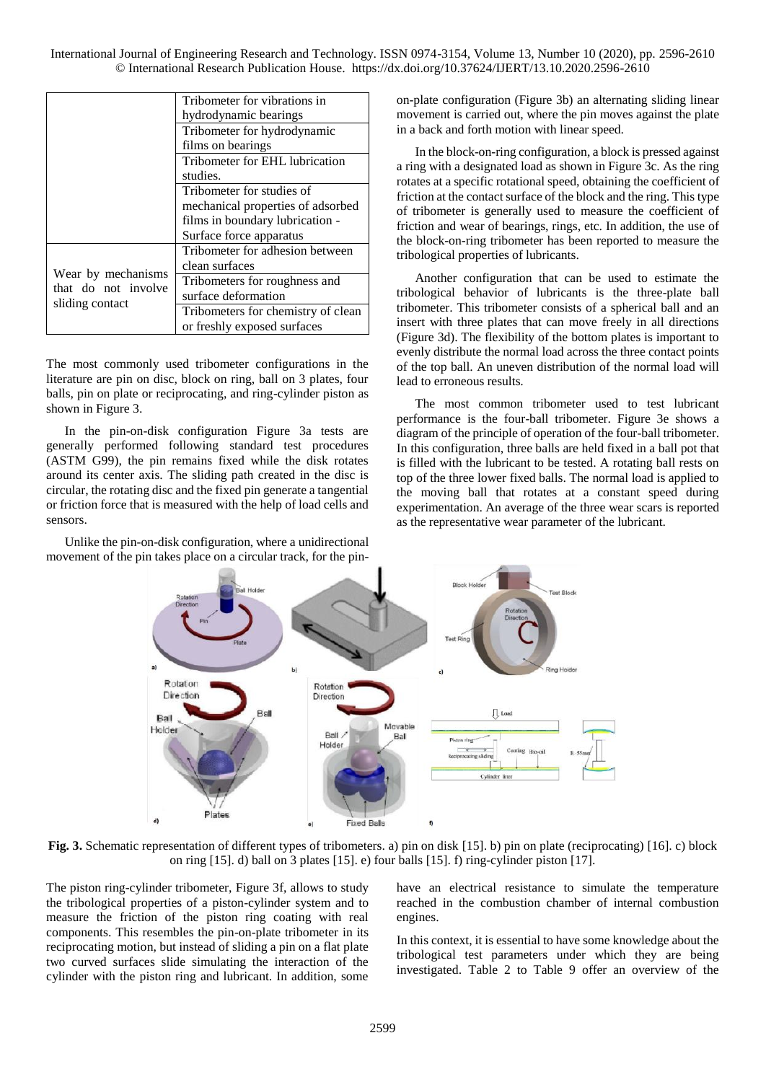|                                        | Tribometer for vibrations in       |  |  |
|----------------------------------------|------------------------------------|--|--|
|                                        | hydrodynamic bearings              |  |  |
|                                        | Tribometer for hydrodynamic        |  |  |
|                                        | films on bearings                  |  |  |
|                                        | Tribometer for EHL lubrication     |  |  |
|                                        | studies.                           |  |  |
|                                        | Tribometer for studies of          |  |  |
|                                        | mechanical properties of adsorbed  |  |  |
|                                        | films in boundary lubrication -    |  |  |
|                                        | Surface force apparatus            |  |  |
|                                        | Tribometer for adhesion between    |  |  |
|                                        | clean surfaces                     |  |  |
| Wear by mechanisms                     | Tribometers for roughness and      |  |  |
| that do not involve<br>sliding contact | surface deformation                |  |  |
|                                        | Tribometers for chemistry of clean |  |  |
|                                        | or freshly exposed surfaces        |  |  |

The most commonly used tribometer configurations in the literature are pin on disc, block on ring, ball on 3 plates, four balls, pin on plate or reciprocating, and ring-cylinder piston as shown in Figure 3.

In the pin-on-disk configuration Figure 3a tests are generally performed following standard test procedures (ASTM G99), the pin remains fixed while the disk rotates around its center axis. The sliding path created in the disc is circular, the rotating disc and the fixed pin generate a tangential or friction force that is measured with the help of load cells and sensors.

Unlike the pin-on-disk configuration, where a unidirectional movement of the pin takes place on a circular track, for the pinon-plate configuration (Figure 3b) an alternating sliding linear movement is carried out, where the pin moves against the plate in a back and forth motion with linear speed.

In the block-on-ring configuration, a block is pressed against a ring with a designated load as shown in Figure 3c. As the ring rotates at a specific rotational speed, obtaining the coefficient of friction at the contact surface of the block and the ring. This type of tribometer is generally used to measure the coefficient of friction and wear of bearings, rings, etc. In addition, the use of the block-on-ring tribometer has been reported to measure the tribological properties of lubricants.

Another configuration that can be used to estimate the tribological behavior of lubricants is the three-plate ball tribometer. This tribometer consists of a spherical ball and an insert with three plates that can move freely in all directions (Figure 3d). The flexibility of the bottom plates is important to evenly distribute the normal load across the three contact points of the top ball. An uneven distribution of the normal load will lead to erroneous results.

The most common tribometer used to test lubricant performance is the four-ball tribometer. Figure 3e shows a diagram of the principle of operation of the four-ball tribometer. In this configuration, three balls are held fixed in a ball pot that is filled with the lubricant to be tested. A rotating ball rests on top of the three lower fixed balls. The normal load is applied to the moving ball that rotates at a constant speed during experimentation. An average of the three wear scars is reported as the representative wear parameter of the lubricant.



<span id="page-3-0"></span>**Fig. 3.** Schematic representation of different types of tribometers. a) pin on disk [15]. b) pin on plate (reciprocating) [16]. c) block on ring [15]. d) ball on 3 plates [15]. e) four balls [15]. f) ring-cylinder piston [17].

The piston ring-cylinder tribometer, [Figure 3f](#page-3-0), allows to study the tribological properties of a piston-cylinder system and to measure the friction of the piston ring coating with real components. This resembles the pin-on-plate tribometer in its reciprocating motion, but instead of sliding a pin on a flat plate two curved surfaces slide simulating the interaction of the cylinder with the piston ring and lubricant. In addition, some

have an electrical resistance to simulate the temperature reached in the combustion chamber of internal combustion engines.

In this context, it is essential to have some knowledge about the tribological test parameters under which they are being investigated. Table 2 to [Table 9](#page-11-0) offer an overview of the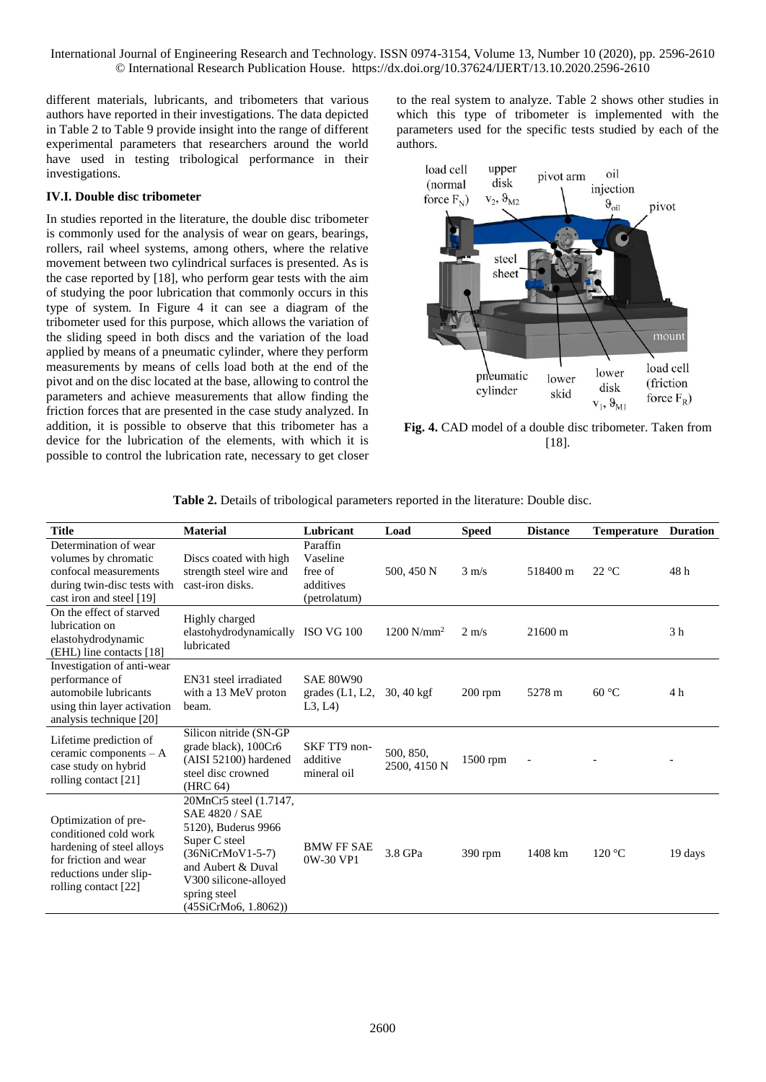different materials, lubricants, and tribometers that various authors have reported in their investigations. The data depicted in Table 2 to [Table 9](#page-11-0) provide insight into the range of different experimental parameters that researchers around the world have used in testing tribological performance in their investigations.

# **IV.I. Double disc tribometer**

In studies reported in the literature, the double disc tribometer is commonly used for the analysis of wear on gears, bearings, rollers, rail wheel systems, among others, where the relative movement between two cylindrical surfaces is presented. As is the case reported by [18], who perform gear tests with the aim of studying the poor lubrication that commonly occurs in this type of system. In Figure 4 it can see a diagram of the tribometer used for this purpose, which allows the variation of the sliding speed in both discs and the variation of the load applied by means of a pneumatic cylinder, where they perform measurements by means of cells load both at the end of the pivot and on the disc located at the base, allowing to control the parameters and achieve measurements that allow finding the friction forces that are presented in the case study analyzed. In addition, it is possible to observe that this tribometer has a device for the lubrication of the elements, with which it is possible to control the lubrication rate, necessary to get closer to the real system to analyze. Table 2 shows other studies in which this type of tribometer is implemented with the parameters used for the specific tests studied by each of the authors.



**Fig. 4.** CAD model of a double disc tribometer. Taken from [18].

| <b>Title</b>                                                                                                                                          | <b>Material</b>                                                                                                                                                                                    | Lubricant                                                    | Load                      | <b>Speed</b>    | <b>Distance</b>      | <b>Temperature</b> | <b>Duration</b> |
|-------------------------------------------------------------------------------------------------------------------------------------------------------|----------------------------------------------------------------------------------------------------------------------------------------------------------------------------------------------------|--------------------------------------------------------------|---------------------------|-----------------|----------------------|--------------------|-----------------|
| Determination of wear<br>volumes by chromatic<br>confocal measurements<br>during twin-disc tests with<br>cast iron and steel [19]                     | Discs coated with high<br>strength steel wire and<br>cast-iron disks.                                                                                                                              | Paraffin<br>Vaseline<br>free of<br>additives<br>(petrolatum) | 500, 450 N                | $3 \text{ m/s}$ | 518400 m             | 22 °C              | 48h             |
| On the effect of starved<br>lubrication on<br>elastohydrodynamic<br>(EHL) line contacts [18]                                                          | Highly charged<br>elastohydrodynamically ISO VG 100<br>lubricated                                                                                                                                  |                                                              | $1200$ N/mm <sup>2</sup>  | $2 \text{ m/s}$ | $21600 \,\mathrm{m}$ |                    | 3 <sub>h</sub>  |
| Investigation of anti-wear<br>performance of<br>automobile lubricants<br>using thin layer activation<br>analysis technique [20]                       | EN31 steel irradiated<br>with a 13 MeV proton<br>beam.                                                                                                                                             | <b>SAE 80W90</b><br>grades $(L1, L2,$<br>L3, L4              | $30,40$ kgf               | $200$ rpm       | 5278 m               | 60 °C              | 4 h             |
| Lifetime prediction of<br>ceramic components - A<br>case study on hybrid<br>rolling contact [21]                                                      | Silicon nitride (SN-GP<br>grade black), 100Cr6<br>(AISI 52100) hardened<br>steel disc crowned<br>(HRC 64)                                                                                          | SKF TT9 non-<br>additive<br>mineral oil                      | 500, 850,<br>2500, 4150 N | 1500 rpm        |                      |                    |                 |
| Optimization of pre-<br>conditioned cold work<br>hardening of steel alloys<br>for friction and wear<br>reductions under slip-<br>rolling contact [22] | 20MnCr5 steel (1.7147,<br><b>SAE 4820 / SAE</b><br>5120), Buderus 9966<br>Super C steel<br>(36NiCrMoV1-5-7)<br>and Aubert & Duval<br>V300 silicone-alloyed<br>spring steel<br>(45SiCrMo6, 1.8062)) | <b>BMW FF SAE</b><br>0W-30 VP1                               | 3.8 GPa                   | $390$ rpm       | 1408 km              | 120 °C             | 19 days         |

**Table 2.** Details of tribological parameters reported in the literature: Double disc.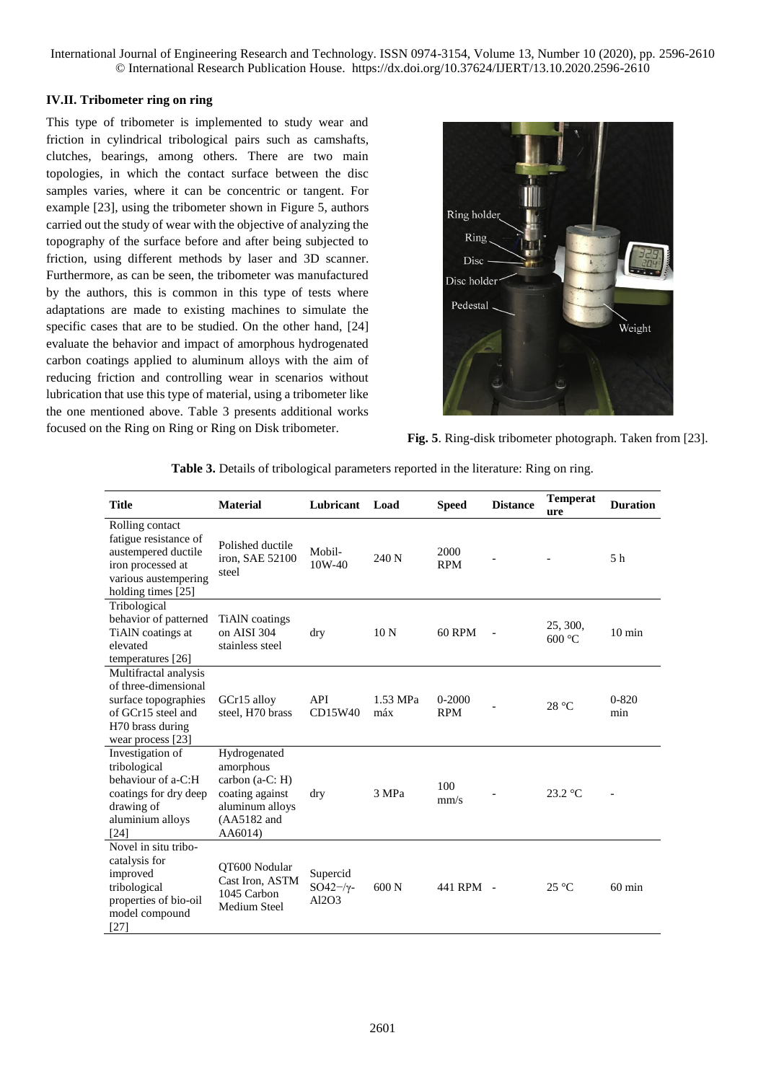## **IV.II. Tribometer ring on ring**

This type of tribometer is implemented to study wear and friction in cylindrical tribological pairs such as camshafts, clutches, bearings, among others. There are two main topologies, in which the contact surface between the disc samples varies, where it can be concentric or tangent. For example [23], using the tribometer shown in [Figure 5,](#page-5-0) authors carried out the study of wear with the objective of analyzing the topography of the surface before and after being subjected to friction, using different methods by laser and 3D scanner. Furthermore, as can be seen, the tribometer was manufactured by the authors, this is common in this type of tests where adaptations are made to existing machines to simulate the specific cases that are to be studied. On the other hand, [24] evaluate the behavior and impact of amorphous hydrogenated carbon coatings applied to aluminum alloys with the aim of reducing friction and controlling wear in scenarios without lubrication that use this type of material, using a tribometer like the one mentioned above. [Table 3](#page-5-1) presents additional works focused on the Ring on Ring or Ring on Disk tribometer.



**Fig. 5**. Ring-disk tribometer photograph. Taken from [23].

<span id="page-5-1"></span>

| <b>Title</b>                                                                                                                         | <b>Material</b>                                                                                              | Lubricant                            | Load            | <b>Speed</b>             | <b>Distance</b> | <b>Temperat</b><br>ure | <b>Duration</b>  |
|--------------------------------------------------------------------------------------------------------------------------------------|--------------------------------------------------------------------------------------------------------------|--------------------------------------|-----------------|--------------------------|-----------------|------------------------|------------------|
| Rolling contact<br>fatigue resistance of<br>austempered ductile<br>iron processed at<br>various austempering<br>holding times [25]   | Polished ductile<br>iron, SAE 52100<br>steel                                                                 | Mobil-<br>10W-40                     | 240 N           | 2000<br><b>RPM</b>       |                 |                        | 5 <sub>h</sub>   |
| Tribological<br>behavior of patterned<br>TiAlN coatings at<br>elevated<br>temperatures [26]                                          | TiAlN coatings<br>on AISI 304<br>stainless steel                                                             | dry                                  | 10 <sub>N</sub> | <b>60 RPM</b>            |                 | 25, 300,<br>600 °C     | $10 \text{ min}$ |
| Multifractal analysis<br>of three-dimensional<br>surface topographies<br>of GCr15 steel and<br>H70 brass during<br>wear process [23] | GCr15 alloy<br>steel. H70 brass                                                                              | API<br>CD15W40                       | 1.53 MPa<br>máx | $0 - 2000$<br><b>RPM</b> |                 | 28 °C                  | $0 - 820$<br>min |
| Investigation of<br>tribological<br>behaviour of a-C:H<br>coatings for dry deep<br>drawing of<br>aluminium alloys<br>[24]            | Hydrogenated<br>amorphous<br>carbon (a-C: H)<br>coating against<br>aluminum alloys<br>(AA5182 and<br>AA6014) | dry                                  | 3 MPa           | 100<br>mm/s              |                 | $23.2 \text{ °C}$      |                  |
| Novel in situ tribo-<br>catalysis for<br>improved<br>tribological<br>properties of bio-oil<br>model compound<br>$[27]$               | OT600 Nodular<br>Cast Iron. ASTM<br>1045 Carbon<br>Medium Steel                                              | Supercid<br>$SO42-\gamma$ -<br>Al2O3 | 600 N           | 441 RPM -                |                 | $25^{\circ}$ C         | $60 \text{ min}$ |

<span id="page-5-0"></span>**Table 3.** Details of tribological parameters reported in the literature: Ring on ring.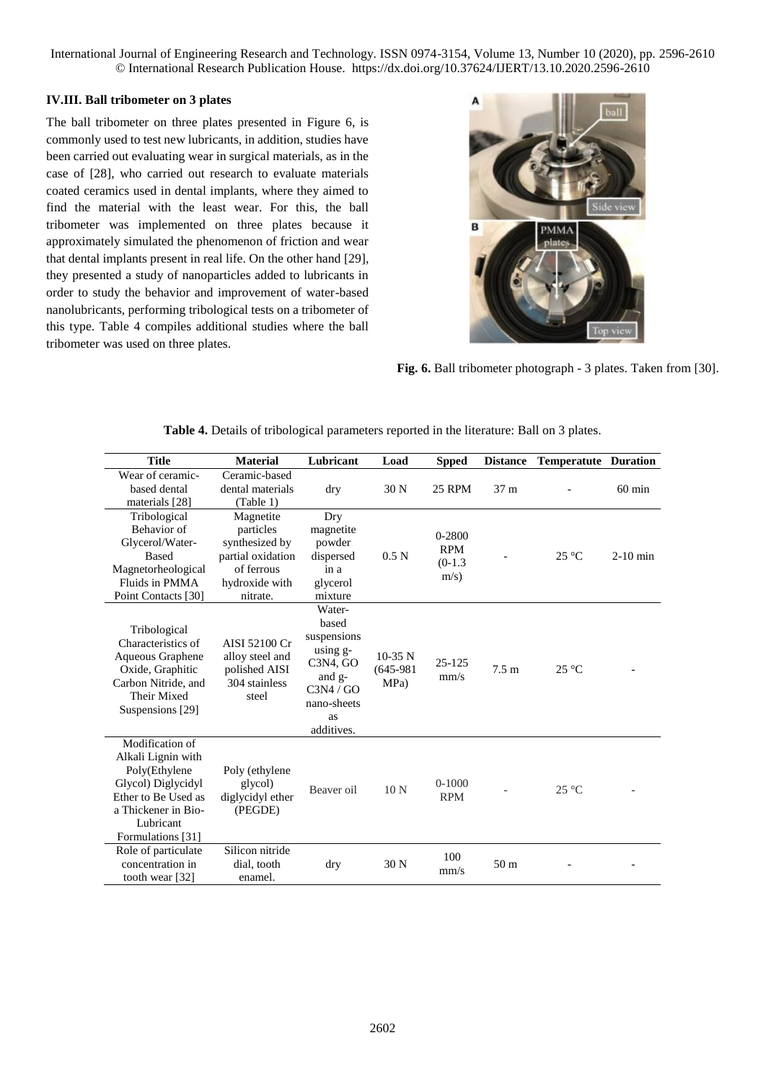# **IV.III. Ball tribometer on 3 plates**

The ball tribometer on three plates presented in Figure 6, is commonly used to test new lubricants, in addition, studies have been carried out evaluating wear in surgical materials, as in the case of [28], who carried out research to evaluate materials coated ceramics used in dental implants, where they aimed to find the material with the least wear. For this, the ball tribometer was implemented on three plates because it approximately simulated the phenomenon of friction and wear that dental implants present in real life. On the other hand [29], they presented a study of nanoparticles added to lubricants in order to study the behavior and improvement of water-based nanolubricants, performing tribological tests on a tribometer of this type. [Table 4](#page-6-0) compiles additional studies where the ball tribometer was used on three plates.



**Fig. 6.** Ball tribometer photograph - 3 plates. Taken from [30].

| <b>Title</b>                                                                                                                                                 | <b>Material</b>                                                                                           | Lubricant                                                                                                                                | Load                             | <b>Spped</b>                                  | <b>Distance</b>  | <b>Temperatute Duration</b> |                  |
|--------------------------------------------------------------------------------------------------------------------------------------------------------------|-----------------------------------------------------------------------------------------------------------|------------------------------------------------------------------------------------------------------------------------------------------|----------------------------------|-----------------------------------------------|------------------|-----------------------------|------------------|
| Wear of ceramic-<br>based dental<br>materials [28]                                                                                                           | Ceramic-based<br>dental materials<br>(Table 1)                                                            | dry                                                                                                                                      | 30 N                             | 25 RPM                                        | 37 <sub>m</sub>  |                             | $60 \text{ min}$ |
| Tribological<br>Behavior of<br>Glycerol/Water-<br><b>Based</b><br>Magnetorheological<br>Fluids in PMMA<br>Point Contacts [30]                                | Magnetite<br>particles<br>synthesized by<br>partial oxidation<br>of ferrous<br>hydroxide with<br>nitrate. | Dry<br>magnetite<br>powder<br>dispersed<br>in a<br>glycerol<br>mixture                                                                   | 0.5 <sub>N</sub>                 | $0 - 2800$<br><b>RPM</b><br>$(0-1.3)$<br>m/s) |                  | $25^{\circ}$ C              | $2-10$ min       |
| Tribological<br>Characteristics of<br>Aqueous Graphene<br>Oxide, Graphitic<br>Carbon Nitride, and<br>Their Mixed<br>Suspensions [29]                         | AISI 52100 Cr<br>alloy steel and<br>polished AISI<br>304 stainless<br>steel                               | Water-<br>based<br>suspensions<br>using g-<br>C <sub>3</sub> N <sub>4</sub> , GO<br>and g-<br>C3N4/GO<br>nano-sheets<br>as<br>additives. | $10-35$ N<br>$(645-981)$<br>MPa) | 25-125<br>mm/s                                | 7.5 <sub>m</sub> | $25^{\circ}$ C              |                  |
| Modification of<br>Alkali Lignin with<br>Poly(Ethylene<br>Glycol) Diglycidyl<br>Ether to Be Used as<br>a Thickener in Bio-<br>Lubricant<br>Formulations [31] | Poly (ethylene<br>glycol)<br>diglycidyl ether<br>(PEGDE)                                                  | Beaver oil                                                                                                                               | 10 <sub>N</sub>                  | $0-1000$<br><b>RPM</b>                        |                  | $25^{\circ}$ C              |                  |
| Role of particulate<br>concentration in<br>tooth wear [32]                                                                                                   | Silicon nitride<br>dial, tooth<br>enamel.                                                                 | dry                                                                                                                                      | 30 N                             | 100<br>mm/s                                   | 50 <sub>m</sub>  |                             |                  |

<span id="page-6-0"></span>

| Table 4. Details of tribological parameters reported in the literature: Ball on 3 plates. |  |  |  |  |
|-------------------------------------------------------------------------------------------|--|--|--|--|
|-------------------------------------------------------------------------------------------|--|--|--|--|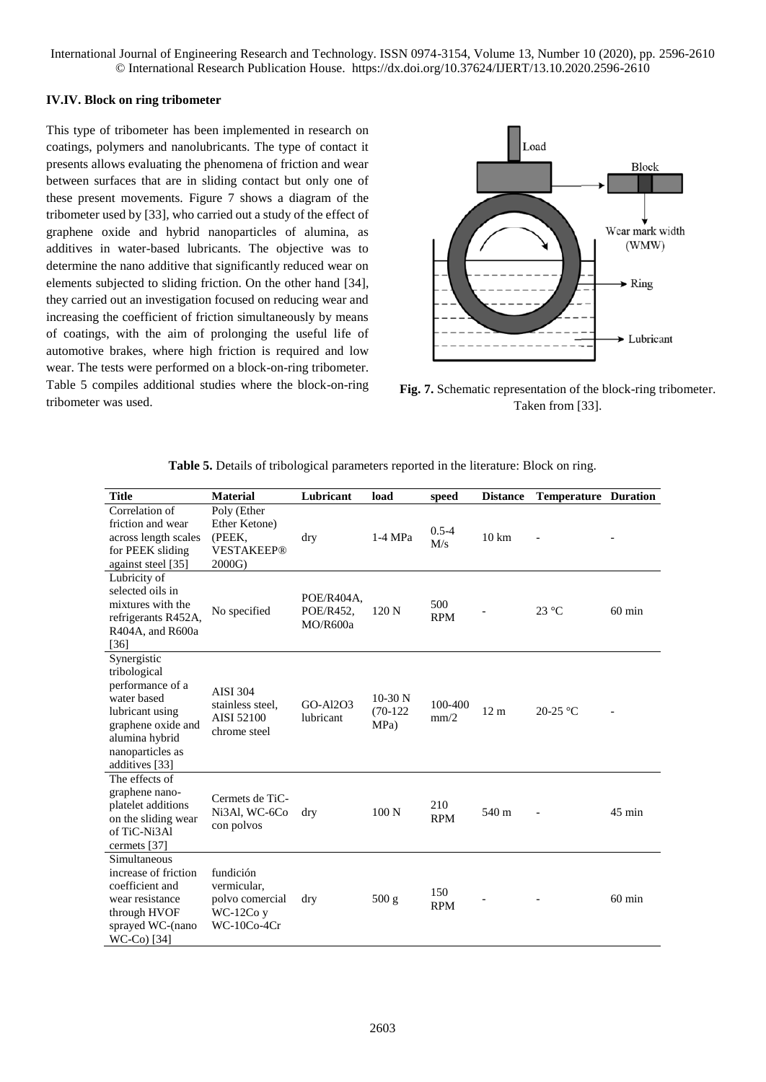#### **IV.IV. Block on ring tribometer**

This type of tribometer has been implemented in research on coatings, polymers and nanolubricants. The type of contact it presents allows evaluating the phenomena of friction and wear between surfaces that are in sliding contact but only one of these present movements. [Figure 7](#page-7-0) shows a diagram of the tribometer used by [33], who carried out a study of the effect of graphene oxide and hybrid nanoparticles of alumina, as additives in water-based lubricants. The objective was to determine the nano additive that significantly reduced wear on elements subjected to sliding friction. On the other hand [34], they carried out an investigation focused on reducing wear and increasing the coefficient of friction simultaneously by means of coatings, with the aim of prolonging the useful life of automotive brakes, where high friction is required and low wear. The tests were performed on a block-on-ring tribometer. [Table 5](#page-7-1) compiles additional studies where the block-on-ring tribometer was used.



<span id="page-7-1"></span><span id="page-7-0"></span>**Fig. 7.** Schematic representation of the block-ring tribometer. Taken from [33].

| <b>Title</b>                                                                                                                                                    | <b>Material</b>                                                            | Lubricant                           | load                            | speed             | <b>Distance</b> | <b>Temperature Duration</b> |                  |
|-----------------------------------------------------------------------------------------------------------------------------------------------------------------|----------------------------------------------------------------------------|-------------------------------------|---------------------------------|-------------------|-----------------|-----------------------------|------------------|
| Correlation of<br>friction and wear<br>across length scales<br>for PEEK sliding<br>against steel [35]                                                           | Poly (Ether<br>Ether Ketone)<br>(PEEK,<br><b>VESTAKEEP®</b><br>2000G)      | dry                                 | $1-4 MPa$                       | $0.5 - 4$<br>M/s  | $10 \text{ km}$ |                             |                  |
| Lubricity of<br>selected oils in<br>mixtures with the<br>refrigerants R452A,<br>R404A, and R600a<br>$[36]$                                                      | No specified                                                               | POE/R404A,<br>POE/R452.<br>MO/R600a | 120 <sub>N</sub>                | 500<br><b>RPM</b> |                 | $23 \text{ °C}$             | $60 \text{ min}$ |
| Synergistic<br>tribological<br>performance of a<br>water based<br>lubricant using<br>graphene oxide and<br>alumina hybrid<br>nanoparticles as<br>additives [33] | <b>AISI 304</b><br>stainless steel,<br><b>AISI 52100</b><br>chrome steel   | $GO-A12O3$<br>lubricant             | $10-30$ N<br>$(70-122)$<br>MPa) | 100-400<br>mm/2   | 12 <sub>m</sub> | $20-25$ °C                  |                  |
| The effects of<br>graphene nano-<br>platelet additions<br>on the sliding wear<br>of TiC-Ni3Al<br>cermets [37]                                                   | Cermets de TiC-<br>Ni3Al, WC-6Co<br>con polvos                             | dry                                 | 100 N                           | 210<br><b>RPM</b> | 540 m           |                             | $45 \text{ min}$ |
| Simultaneous<br>increase of friction<br>coefficient and<br>wear resistance<br>through HVOF<br>sprayed WC-(nano<br>WC-Co) [34]                                   | fundición<br>vermicular,<br>polvo comercial<br>$WC-12Coy$<br>$WC-10Co-4Cr$ | dry                                 | 500 g                           | 150<br><b>RPM</b> |                 |                             | $60 \text{ min}$ |

| Table 5. Details of tribological parameters reported in the literature: Block on ring. |
|----------------------------------------------------------------------------------------|
|                                                                                        |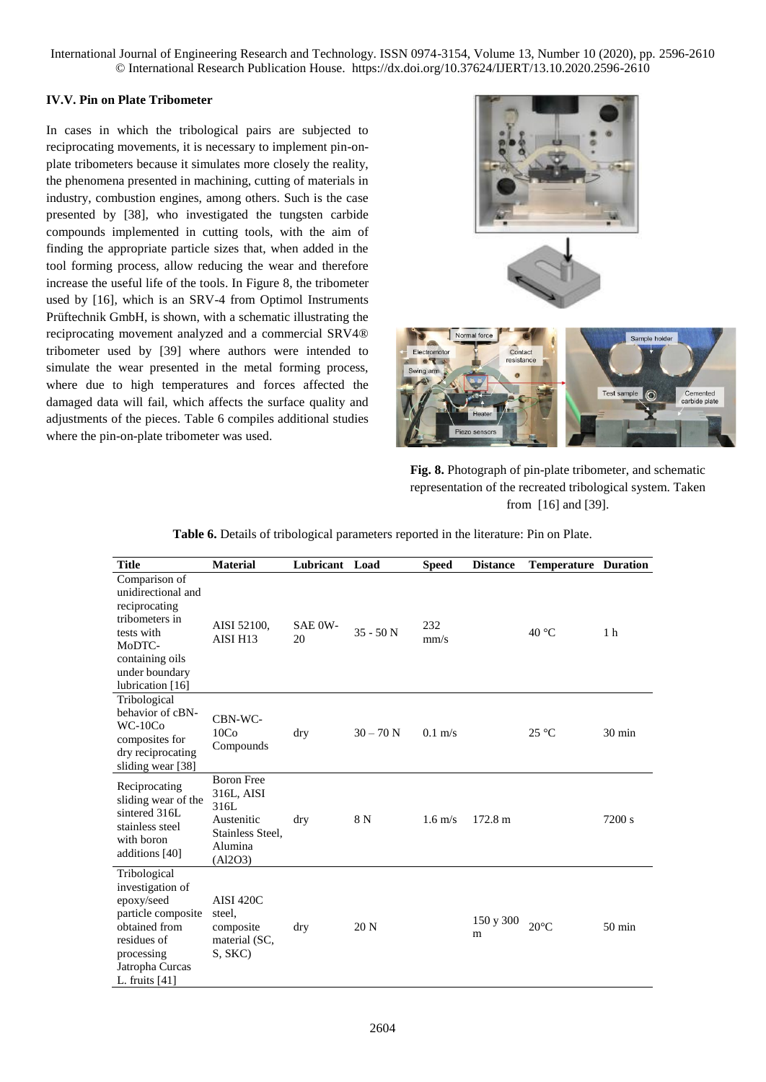# **IV.V. Pin on Plate Tribometer**

In cases in which the tribological pairs are subjected to reciprocating movements, it is necessary to implement pin-onplate tribometers because it simulates more closely the reality, the phenomena presented in machining, cutting of materials in industry, combustion engines, among others. Such is the case presented by [38], who investigated the tungsten carbide compounds implemented in cutting tools, with the aim of finding the appropriate particle sizes that, when added in the tool forming process, allow reducing the wear and therefore increase the useful life of the tools. In [Figure 8,](#page-8-0) the tribometer used by [16], which is an SRV-4 from Optimol Instruments Prüftechnik GmbH, is shown, with a schematic illustrating the reciprocating movement analyzed and a commercial SRV4® tribometer used by [39] where authors were intended to simulate the wear presented in the metal forming process, where due to high temperatures and forces affected the damaged data will fail, which affects the surface quality and adjustments of the pieces. [Table 6](#page-8-1) compiles additional studies where the pin-on-plate tribometer was used.



**Fig. 8.** Photograph of pin-plate tribometer, and schematic representation of the recreated tribological system. Taken from [16] and [39].

2604 **Title Material Lubricant Load Speed Distance Temperature Duration** Comparison of unidirectional and reciprocating tribometers in tests with MoDTCcontaining oils under boundary lubrication [16] AISI 52100, AISI H13 SAE 0W- $\frac{\text{SAE 0W}}{20}$  35 - 50 N  $\frac{232}{\text{mm/s}}$  $\text{mm/s}$  40 °C 1 h Tribological behavior of cBN-WC-10Co composites for dry reciprocating sliding wear [38] CBN-WC- $10Co$ Compounds dry  $30 - 70 \text{ N}$   $0.1 \text{ m/s}$   $25 \text{ °C}$   $30 \text{ min}$ Reciprocating sliding wear of the sintered 316L stainless steel with boron additions [40] Boron Free 316L, AISI 316L Austenitic Stainless Steel, Alumina (Al2O3) dry 8 N 1.6 m/s 172.8 m 7200 s Tribological investigation of epoxy/seed particle composite obtained from residues of processing Jatropha Curcas L. fruits [41] AISI 420C steel, composite material (SC, S, SKC) dry 20 N 150 y 300 m  $20^{\circ}$ C 50 min

<span id="page-8-1"></span><span id="page-8-0"></span>**Table 6.** Details of tribological parameters reported in the literature: Pin on Plate.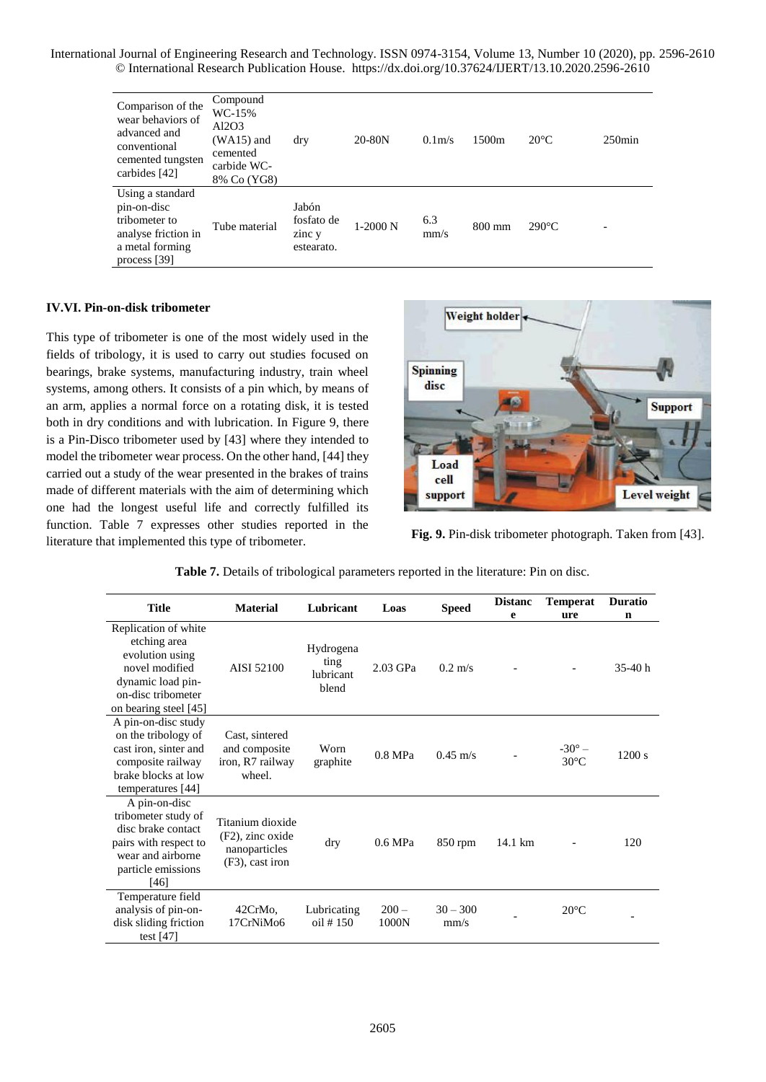| Comparison of the<br>wear behaviors of<br>advanced and<br>conventional<br>cemented tungsten<br>carbides [42] | Compound<br>WC-15%<br>Al2O3<br>$(WA15)$ and<br>cemented<br>carbide WC-<br>8% Co (YG8) | dry                                         | 20-80N     | 0.1 <sub>m</sub> | 1500 <sub>m</sub> | $20^{\circ}$ C  | $250$ min |
|--------------------------------------------------------------------------------------------------------------|---------------------------------------------------------------------------------------|---------------------------------------------|------------|------------------|-------------------|-----------------|-----------|
| Using a standard<br>pin-on-disc<br>tribometer to<br>analyse friction in<br>a metal forming<br>process [39]   | Tube material                                                                         | Jabón<br>fosfato de<br>zinc y<br>estearato. | $1-2000$ N | 6.3<br>mm/s      | $800 \text{ mm}$  | $290^{\circ}$ C | ۰         |

# **IV.VI. Pin-on-disk tribometer**

This type of tribometer is one of the most widely used in the fields of tribology, it is used to carry out studies focused on bearings, brake systems, manufacturing industry, train wheel systems, among others. It consists of a pin which, by means of an arm, applies a normal force on a rotating disk, it is tested both in dry conditions and with lubrication. In [Figure 9,](#page-9-0) there is a Pin-Disco tribometer used by [43] where they intended to model the tribometer wear process. On the other hand, [44] they carried out a study of the wear presented in the brakes of trains made of different materials with the aim of determining which one had the longest useful life and correctly fulfilled its function. [Table 7](#page-9-1) expresses other studies reported in the literature that implemented this type of tribometer. **Fig. 9.** Pin-disk tribometer photograph. Taken from [43].



<span id="page-9-1"></span><span id="page-9-0"></span>

| <b>Title</b>                                                                                                                                  | <b>Material</b>                                                          | Lubricant                               | Loas             | <b>Speed</b>       | <b>Distanc</b><br>e | <b>Temperat</b><br>ure            | <b>Duratio</b><br>$\mathbf n$ |
|-----------------------------------------------------------------------------------------------------------------------------------------------|--------------------------------------------------------------------------|-----------------------------------------|------------------|--------------------|---------------------|-----------------------------------|-------------------------------|
| Replication of white<br>etching area<br>evolution using<br>novel modified<br>dynamic load pin-<br>on-disc tribometer<br>on bearing steel [45] | AISI 52100                                                               | Hydrogena<br>ting<br>lubricant<br>blend | 2.03 GPa         | $0.2 \text{ m/s}$  |                     |                                   | $35-40h$                      |
| A pin-on-disc study<br>on the tribology of<br>cast iron, sinter and<br>composite railway<br>brake blocks at low<br>temperatures [44]          | Cast, sintered<br>and composite<br>iron, R7 railway<br>wheel.            | Worn<br>graphite                        | $0.8$ MPa        | $0.45 \text{ m/s}$ |                     | $-30^{\circ}$ –<br>$30^{\circ}$ C | 1200 s                        |
| A pin-on-disc<br>tribometer study of<br>disc brake contact<br>pairs with respect to<br>wear and airborne<br>particle emissions<br>[46]        | Titanium dioxide<br>(F2), zinc oxide<br>nanoparticles<br>(F3), cast iron | dry                                     | 0.6 MPa          | $850$ rpm          | 14.1 km             |                                   | 120                           |
| Temperature field<br>analysis of pin-on-<br>disk sliding friction<br>test $[47]$                                                              | 42CrMo.<br>17CrNiMo6                                                     | Lubricating<br>oil # 150                | $200 -$<br>1000N | $30 - 300$<br>mm/s |                     | $20^{\circ}$ C                    |                               |
|                                                                                                                                               |                                                                          |                                         |                  |                    |                     |                                   |                               |

**Table 7.** Details of tribological parameters reported in the literature: Pin on disc.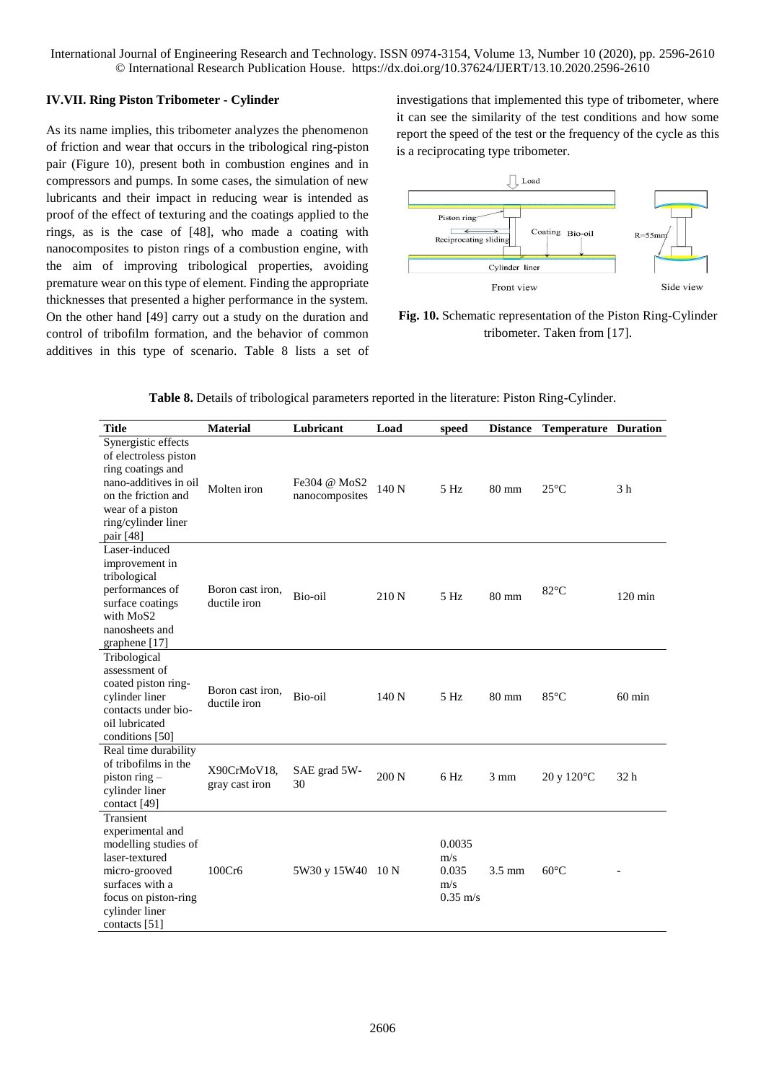# **IV.VII. Ring Piston Tribometer - Cylinder**

As its name implies, this tribometer analyzes the phenomenon of friction and wear that occurs in the tribological ring-piston pair [\(Figure 10\)](#page-10-0), present both in combustion engines and in compressors and pumps. In some cases, the simulation of new lubricants and their impact in reducing wear is intended as proof of the effect of texturing and the coatings applied to the rings, as is the case of [48], who made a coating with nanocomposites to piston rings of a combustion engine, with the aim of improving tribological properties, avoiding premature wear on this type of element. Finding the appropriate thicknesses that presented a higher performance in the system. On the other hand [49] carry out a study on the duration and control of tribofilm formation, and the behavior of common additives in this type of scenario. [Table 8](#page-10-1) lists a set of investigations that implemented this type of tribometer, where it can see the similarity of the test conditions and how some report the speed of the test or the frequency of the cycle as this is a reciprocating type tribometer.



<span id="page-10-1"></span><span id="page-10-0"></span>**Fig. 10.** Schematic representation of the Piston Ring-Cylinder tribometer. Taken from [17].

| <b>Title</b>                                                                                                                                                              | <b>Material</b>                  | Lubricant                      | Load             | speed                                               | <b>Distance</b>  | <b>Temperature Duration</b>          |                   |
|---------------------------------------------------------------------------------------------------------------------------------------------------------------------------|----------------------------------|--------------------------------|------------------|-----------------------------------------------------|------------------|--------------------------------------|-------------------|
| Synergistic effects<br>of electroless piston<br>ring coatings and<br>nano-additives in oil<br>on the friction and<br>wear of a piston<br>ring/cylinder liner<br>pair [48] | Molten iron                      | Fe304 @ MoS2<br>nanocomposites | 140 <sub>N</sub> | 5 <sub>Hz</sub>                                     | 80 mm            | $25^{\circ}$ C                       | 3 <sub>h</sub>    |
| Laser-induced<br>improvement in<br>tribological<br>performances of<br>surface coatings<br>with MoS2<br>nanosheets and<br>graphene [17]                                    | Boron cast iron,<br>ductile iron | Bio-oil                        | 210 N            | 5 Hz                                                | $80 \text{ mm}$  | $82^{\circ}$ C                       | $120 \text{ min}$ |
| Tribological<br>assessment of<br>coated piston ring-<br>cylinder liner<br>contacts under bio-<br>oil lubricated<br>conditions [50]                                        | Boron cast iron.<br>ductile iron | Bio-oil                        | 140N             | 5 H <sub>z</sub>                                    | $80 \text{ mm}$  | $85^{\circ}$ C                       | $60 \text{ min}$  |
| Real time durability<br>of tribofilms in the<br>piston ring $-$<br>cylinder liner<br>contact [49]                                                                         | X90CrMoV18.<br>gray cast iron    | SAE grad 5W-<br>30             | 200 N            | 6 Hz                                                | $3 \text{ mm}$   | $20 \text{ y } 120^{\circ} \text{C}$ | 32h               |
| Transient<br>experimental and<br>modelling studies of<br>laser-textured<br>micro-grooved<br>surfaces with a<br>focus on piston-ring<br>cylinder liner<br>contacts [51]    | 100Cr6                           | 5W30 y 15W40 10 N              |                  | 0.0035<br>m/s<br>0.035<br>m/s<br>$0.35 \text{ m/s}$ | $3.5 \text{ mm}$ | $60^{\circ}$ C                       |                   |

**Table 8.** Details of tribological parameters reported in the literature: Piston Ring-Cylinder.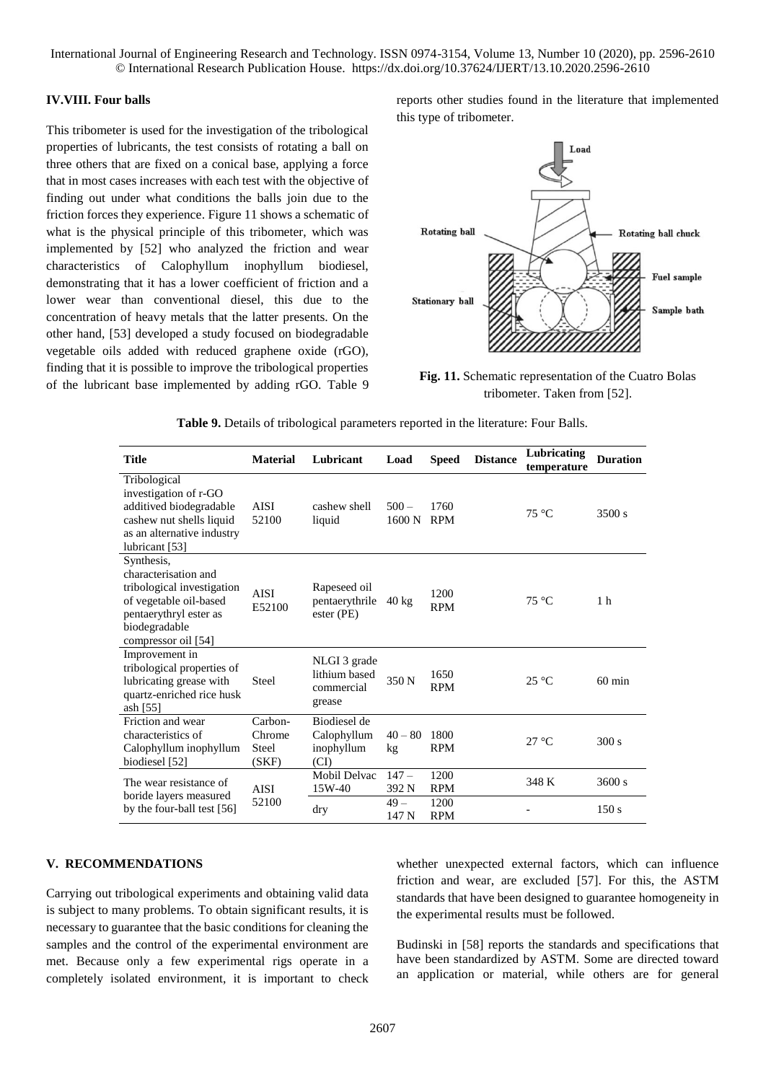#### **IV.VIII. Four balls**

This tribometer is used for the investigation of the tribological properties of lubricants, the test consists of rotating a ball on three others that are fixed on a conical base, applying a force that in most cases increases with each test with the objective of finding out under what conditions the balls join due to the friction forces they experience. [Figure 11](#page-11-1) shows a schematic of what is the physical principle of this tribometer, which was implemented by [52] who analyzed the friction and wear characteristics of Calophyllum inophyllum biodiesel, demonstrating that it has a lower coefficient of friction and a lower wear than conventional diesel, this due to the concentration of heavy metals that the latter presents. On the other hand, [53] developed a study focused on biodegradable vegetable oils added with reduced graphene oxide (rGO), finding that it is possible to improve the tribological properties of the lubricant base implemented by adding rGO. [Table 9](#page-11-0) reports other studies found in the literature that implemented this type of tribometer.



<span id="page-11-1"></span><span id="page-11-0"></span>**Fig. 11.** Schematic representation of the Cuatro Bolas tribometer. Taken from [52].

| Table 9. Details of tribological parameters reported in the literature: Four Balls. |  |  |
|-------------------------------------------------------------------------------------|--|--|
|-------------------------------------------------------------------------------------|--|--|

| <b>Title</b>                                                                                                                                                 | <b>Material</b>                     | Lubricant                                             | Load              | <b>Speed</b>       | <b>Distance</b> | Lubricating<br>temperature | <b>Duration</b>  |
|--------------------------------------------------------------------------------------------------------------------------------------------------------------|-------------------------------------|-------------------------------------------------------|-------------------|--------------------|-----------------|----------------------------|------------------|
| Tribological<br>investigation of r-GO<br>additived biodegradable<br>cashew nut shells liquid<br>as an alternative industry<br>lubricant [53]                 | <b>AISI</b><br>52100                | cashew shell<br>liquid                                | $500 -$<br>1600 N | 1760<br><b>RPM</b> |                 | 75 °C                      | 3500 s           |
| Synthesis,<br>characterisation and<br>tribological investigation<br>of vegetable oil-based<br>pentaerythryl ester as<br>biodegradable<br>compressor oil [54] | <b>AISI</b><br>E52100               | Rapeseed oil<br>pentaerythrile<br>ester (PE)          | $40 \text{ kg}$   | 1200<br><b>RPM</b> |                 | $75^{\circ}$ C             | 1 <sub>h</sub>   |
| Improvement in<br>tribological properties of<br>lubricating grease with<br>quartz-enriched rice husk<br>ash $[55]$                                           | Steel                               | NLGI 3 grade<br>lithium based<br>commercial<br>grease | 350 N             | 1650<br><b>RPM</b> |                 | $25^{\circ}$ C             | $60 \text{ min}$ |
| Friction and wear<br>characteristics of<br>Calophyllum inophyllum<br>biodiesel [52]                                                                          | Carbon-<br>Chrome<br>Steel<br>(SKF) | Biodiesel de<br>Calophyllum<br>inophyllum<br>(CI)     | $40 - 80$<br>kg   | 1800<br><b>RPM</b> |                 | $27^{\circ}$ C             | 300 s            |
| The wear resistance of<br>boride layers measured<br>by the four-ball test [56]                                                                               | <b>AISI</b><br>52100                | Mobil Delvac<br>$15W-40$                              | $147 -$<br>392 N  | 1200<br><b>RPM</b> |                 | 348 K                      | 3600 s           |
|                                                                                                                                                              |                                     | dry                                                   | $49 -$<br>147 N   | 1200<br><b>RPM</b> |                 |                            | 150s             |

# **V. RECOMMENDATIONS**

Carrying out tribological experiments and obtaining valid data is subject to many problems. To obtain significant results, it is necessary to guarantee that the basic conditions for cleaning the samples and the control of the experimental environment are met. Because only a few experimental rigs operate in a completely isolated environment, it is important to check

whether unexpected external factors, which can influence friction and wear, are excluded [57]. For this, the ASTM standards that have been designed to guarantee homogeneity in the experimental results must be followed.

Budinski in [58] reports the standards and specifications that have been standardized by ASTM. Some are directed toward an application or material, while others are for general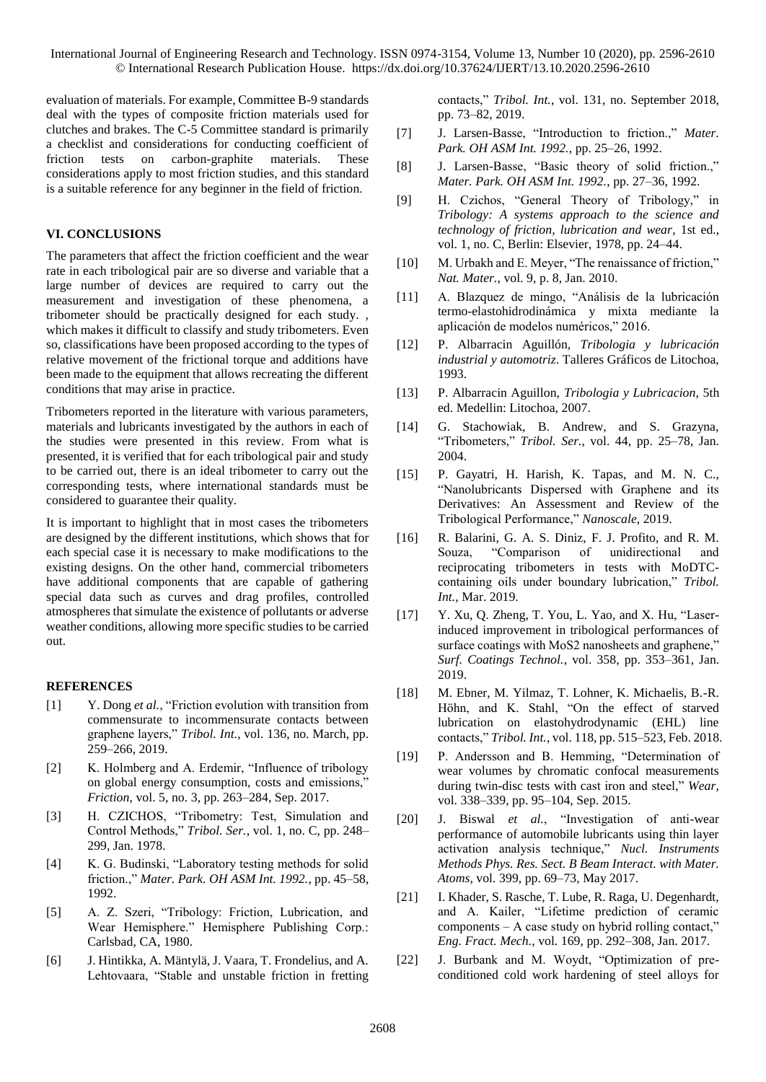evaluation of materials. For example, Committee B-9 standards deal with the types of composite friction materials used for clutches and brakes. The C-5 Committee standard is primarily a checklist and considerations for conducting coefficient of friction tests on carbon-graphite materials. These considerations apply to most friction studies, and this standard is a suitable reference for any beginner in the field of friction.

# **VI. CONCLUSIONS**

The parameters that affect the friction coefficient and the wear rate in each tribological pair are so diverse and variable that a large number of devices are required to carry out the measurement and investigation of these phenomena, a tribometer should be practically designed for each study. , which makes it difficult to classify and study tribometers. Even so, classifications have been proposed according to the types of relative movement of the frictional torque and additions have been made to the equipment that allows recreating the different conditions that may arise in practice.

Tribometers reported in the literature with various parameters, materials and lubricants investigated by the authors in each of the studies were presented in this review. From what is presented, it is verified that for each tribological pair and study to be carried out, there is an ideal tribometer to carry out the corresponding tests, where international standards must be considered to guarantee their quality.

It is important to highlight that in most cases the tribometers are designed by the different institutions, which shows that for each special case it is necessary to make modifications to the existing designs. On the other hand, commercial tribometers have additional components that are capable of gathering special data such as curves and drag profiles, controlled atmospheres that simulate the existence of pollutants or adverse weather conditions, allowing more specific studies to be carried out.

#### **REFERENCES**

- [1] Y. Dong *et al.*, "Friction evolution with transition from commensurate to incommensurate contacts between graphene layers," *Tribol. Int.*, vol. 136, no. March, pp. 259–266, 2019.
- [2] K. Holmberg and A. Erdemir, "Influence of tribology on global energy consumption, costs and emissions," *Friction*, vol. 5, no. 3, pp. 263–284, Sep. 2017.
- [3] H. CZICHOS, "Tribometry: Test, Simulation and Control Methods," *Tribol. Ser.*, vol. 1, no. C, pp. 248– 299, Jan. 1978.
- [4] K. G. Budinski, "Laboratory testing methods for solid friction.," *Mater. Park. OH ASM Int. 1992.*, pp. 45–58, 1992.
- [5] A. Z. Szeri, "Tribology: Friction, Lubrication, and Wear Hemisphere." Hemisphere Publishing Corp.: Carlsbad, CA, 1980.
- [6] J. Hintikka, A. Mäntylä, J. Vaara, T. Frondelius, and A. Lehtovaara, "Stable and unstable friction in fretting

contacts," *Tribol. Int.*, vol. 131, no. September 2018, pp. 73–82, 2019.

- [7] J. Larsen-Basse, "Introduction to friction.," *Mater. Park. OH ASM Int. 1992.*, pp. 25–26, 1992.
- [8] J. Larsen-Basse, "Basic theory of solid friction.," *Mater. Park. OH ASM Int. 1992.*, pp. 27–36, 1992.
- [9] H. Czichos, "General Theory of Tribology," in *Tribology: A systems approach to the science and technology of friction, lubrication and wear*, 1st ed., vol. 1, no. C, Berlin: Elsevier, 1978, pp. 24–44.
- [10] M. Urbakh and E. Meyer, "The renaissance of friction." *Nat. Mater.*, vol. 9, p. 8, Jan. 2010.
- [11] A. Blazquez de mingo, "Análisis de la lubricación termo-elastohidrodinámica y mixta mediante la aplicación de modelos numéricos," 2016.
- [12] P. Albarracin Aguillón, *Tribologia y lubricación industrial y automotriz*. Talleres Gráficos de Litochoa, 1993.
- [13] P. Albarracin Aguillon, *Tribologia y Lubricacion*, 5th ed. Medellin: Litochoa, 2007.
- [14] G. Stachowiak, B. Andrew, and S. Grazyna, "Tribometers," *Tribol. Ser.*, vol. 44, pp. 25–78, Jan. 2004.
- [15] P. Gayatri, H. Harish, K. Tapas, and M. N. C., "Nanolubricants Dispersed with Graphene and its Derivatives: An Assessment and Review of the Tribological Performance," *Nanoscale*, 2019.
- [16] R. Balarini, G. A. S. Diniz, F. J. Profito, and R. M. Souza, "Comparison of unidirectional and reciprocating tribometers in tests with MoDTCcontaining oils under boundary lubrication," *Tribol. Int.*, Mar. 2019.
- [17] Y. Xu, Q. Zheng, T. You, L. Yao, and X. Hu, "Laserinduced improvement in tribological performances of surface coatings with MoS2 nanosheets and graphene," *Surf. Coatings Technol.*, vol. 358, pp. 353–361, Jan. 2019.
- [18] M. Ebner, M. Yilmaz, T. Lohner, K. Michaelis, B.-R. Höhn, and K. Stahl, "On the effect of starved lubrication on elastohydrodynamic (EHL) line contacts," *Tribol. Int.*, vol. 118, pp. 515–523, Feb. 2018.
- [19] P. Andersson and B. Hemming, "Determination of wear volumes by chromatic confocal measurements during twin-disc tests with cast iron and steel," *Wear*, vol. 338–339, pp. 95–104, Sep. 2015.
- [20] J. Biswal *et al.*, "Investigation of anti-wear performance of automobile lubricants using thin layer activation analysis technique," *Nucl. Instruments Methods Phys. Res. Sect. B Beam Interact. with Mater. Atoms*, vol. 399, pp. 69–73, May 2017.
- [21] I. Khader, S. Rasche, T. Lube, R. Raga, U. Degenhardt, and A. Kailer, "Lifetime prediction of ceramic components – A case study on hybrid rolling contact," *Eng. Fract. Mech.*, vol. 169, pp. 292–308, Jan. 2017.
- [22] J. Burbank and M. Woydt, "Optimization of preconditioned cold work hardening of steel alloys for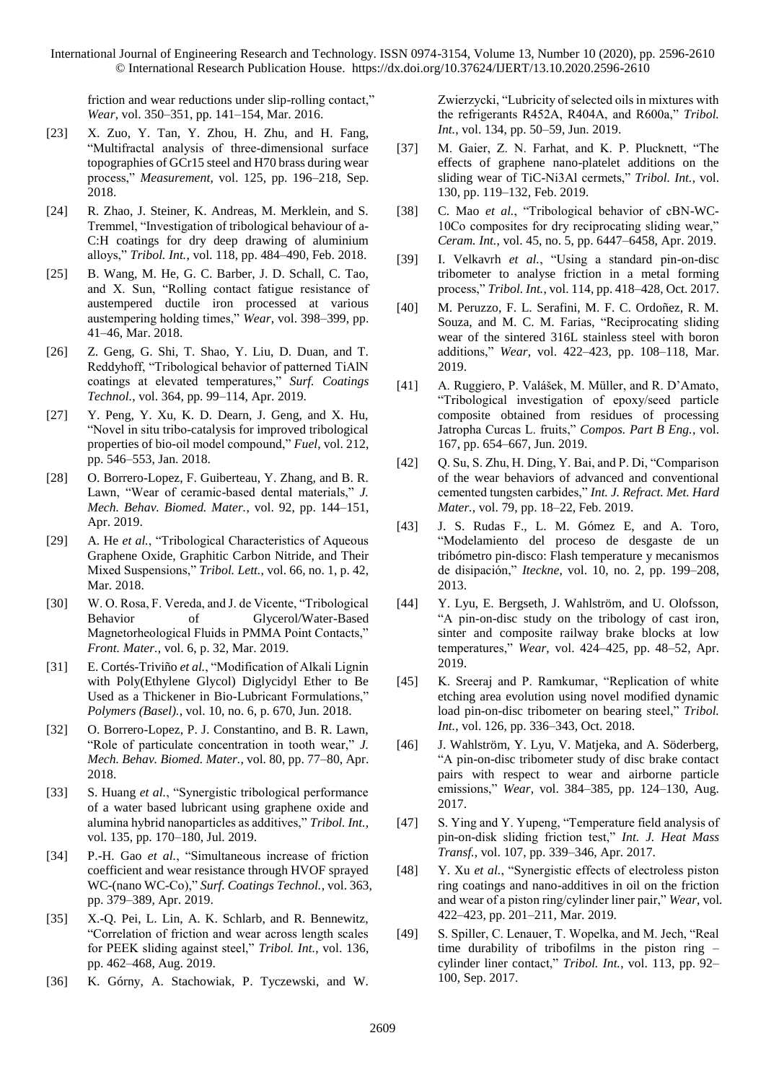friction and wear reductions under slip-rolling contact," *Wear*, vol. 350–351, pp. 141–154, Mar. 2016.

- [23] X. Zuo, Y. Tan, Y. Zhou, H. Zhu, and H. Fang, "Multifractal analysis of three-dimensional surface topographies of GCr15 steel and H70 brass during wear process," *Measurement*, vol. 125, pp. 196–218, Sep. 2018.
- [24] R. Zhao, J. Steiner, K. Andreas, M. Merklein, and S. Tremmel, "Investigation of tribological behaviour of a-C:H coatings for dry deep drawing of aluminium alloys," *Tribol. Int.*, vol. 118, pp. 484–490, Feb. 2018.
- [25] B. Wang, M. He, G. C. Barber, J. D. Schall, C. Tao, and X. Sun, "Rolling contact fatigue resistance of austempered ductile iron processed at various austempering holding times," *Wear*, vol. 398–399, pp. 41–46, Mar. 2018.
- [26] Z. Geng, G. Shi, T. Shao, Y. Liu, D. Duan, and T. Reddyhoff, "Tribological behavior of patterned TiAlN coatings at elevated temperatures," *Surf. Coatings Technol.*, vol. 364, pp. 99–114, Apr. 2019.
- [27] Y. Peng, Y. Xu, K. D. Dearn, J. Geng, and X. Hu, "Novel in situ tribo-catalysis for improved tribological properties of bio-oil model compound," *Fuel*, vol. 212, pp. 546–553, Jan. 2018.
- [28] O. Borrero-Lopez, F. Guiberteau, Y. Zhang, and B. R. Lawn, "Wear of ceramic-based dental materials," *J. Mech. Behav. Biomed. Mater.*, vol. 92, pp. 144–151, Apr. 2019.
- [29] A. He *et al.*, "Tribological Characteristics of Aqueous Graphene Oxide, Graphitic Carbon Nitride, and Their Mixed Suspensions," *Tribol. Lett.*, vol. 66, no. 1, p. 42, Mar. 2018.
- [30] W. O. Rosa, F. Vereda, and J. de Vicente, "Tribological Behavior of Glycerol/Water-Based Magnetorheological Fluids in PMMA Point Contacts," *Front. Mater.*, vol. 6, p. 32, Mar. 2019.
- [31] E. Cortés-Triviño *et al.*, "Modification of Alkali Lignin with Poly(Ethylene Glycol) Diglycidyl Ether to Be Used as a Thickener in Bio-Lubricant Formulations," *Polymers (Basel).*, vol. 10, no. 6, p. 670, Jun. 2018.
- [32] O. Borrero-Lopez, P. J. Constantino, and B. R. Lawn, "Role of particulate concentration in tooth wear," *J. Mech. Behav. Biomed. Mater.*, vol. 80, pp. 77–80, Apr. 2018.
- [33] S. Huang *et al.*, "Synergistic tribological performance of a water based lubricant using graphene oxide and alumina hybrid nanoparticles as additives," *Tribol. Int.*, vol. 135, pp. 170–180, Jul. 2019.
- [34] P.-H. Gao *et al.*, "Simultaneous increase of friction coefficient and wear resistance through HVOF sprayed WC-(nano WC-Co)," *Surf. Coatings Technol.*, vol. 363, pp. 379–389, Apr. 2019.
- [35] X.-Q. Pei, L. Lin, A. K. Schlarb, and R. Bennewitz, "Correlation of friction and wear across length scales for PEEK sliding against steel," *Tribol. Int.*, vol. 136, pp. 462–468, Aug. 2019.
- [36] K. Górny, A. Stachowiak, P. Tyczewski, and W.

Zwierzycki, "Lubricity of selected oils in mixtures with the refrigerants R452A, R404A, and R600a," *Tribol. Int.*, vol. 134, pp. 50–59, Jun. 2019.

- [37] M. Gaier, Z. N. Farhat, and K. P. Plucknett, "The effects of graphene nano-platelet additions on the sliding wear of TiC-Ni3Al cermets," *Tribol. Int.*, vol. 130, pp. 119–132, Feb. 2019.
- [38] C. Mao *et al.*, "Tribological behavior of cBN-WC-10Co composites for dry reciprocating sliding wear," *Ceram. Int.*, vol. 45, no. 5, pp. 6447–6458, Apr. 2019.
- [39] I. Velkavrh *et al.*, "Using a standard pin-on-disc tribometer to analyse friction in a metal forming process," *Tribol. Int.*, vol. 114, pp. 418–428, Oct. 2017.
- [40] M. Peruzzo, F. L. Serafini, M. F. C. Ordoñez, R. M. Souza, and M. C. M. Farias, "Reciprocating sliding wear of the sintered 316L stainless steel with boron additions," *Wear*, vol. 422–423, pp. 108–118, Mar. 2019.
- [41] A. Ruggiero, P. Valášek, M. Müller, and R. D'Amato, "Tribological investigation of epoxy/seed particle composite obtained from residues of processing Jatropha Curcas L. fruits," *Compos. Part B Eng.*, vol. 167, pp. 654–667, Jun. 2019.
- [42] Q. Su, S. Zhu, H. Ding, Y. Bai, and P. Di, "Comparison of the wear behaviors of advanced and conventional cemented tungsten carbides," *Int. J. Refract. Met. Hard Mater.*, vol. 79, pp. 18–22, Feb. 2019.
- [43] J. S. Rudas F., L. M. Gómez E, and A. Toro, "Modelamiento del proceso de desgaste de un tribómetro pin-disco: Flash temperature y mecanismos de disipación," *Iteckne*, vol. 10, no. 2, pp. 199–208, 2013.
- [44] Y. Lyu, E. Bergseth, J. Wahlström, and U. Olofsson, "A pin-on-disc study on the tribology of cast iron, sinter and composite railway brake blocks at low temperatures," *Wear*, vol. 424–425, pp. 48–52, Apr. 2019.
- [45] K. Sreeraj and P. Ramkumar, "Replication of white etching area evolution using novel modified dynamic load pin-on-disc tribometer on bearing steel," *Tribol. Int.*, vol. 126, pp. 336–343, Oct. 2018.
- [46] J. Wahlström, Y. Lyu, V. Matjeka, and A. Söderberg, "A pin-on-disc tribometer study of disc brake contact pairs with respect to wear and airborne particle emissions," *Wear*, vol. 384–385, pp. 124–130, Aug. 2017.
- [47] S. Ying and Y. Yupeng, "Temperature field analysis of pin-on-disk sliding friction test," *Int. J. Heat Mass Transf.*, vol. 107, pp. 339–346, Apr. 2017.
- [48] Y. Xu *et al.*, "Synergistic effects of electroless piston ring coatings and nano-additives in oil on the friction and wear of a piston ring/cylinder liner pair," *Wear*, vol. 422–423, pp. 201–211, Mar. 2019.
- [49] S. Spiller, C. Lenauer, T. Wopelka, and M. Jech, "Real time durability of tribofilms in the piston ring – cylinder liner contact," *Tribol. Int.*, vol. 113, pp. 92– 100, Sep. 2017.